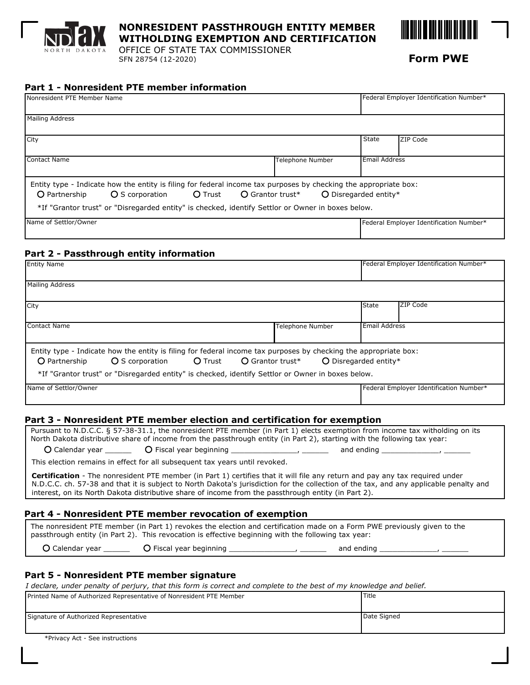

## **NONRESIDENT PASSTHROUGH ENTITY MEMBER WITHOLDING EXEMPTION AND CERTIFICATION**

OFFICE OF STATE TAX COMMISSIONER SFN 28754 (12-2020) **Form PWE**



## **Part 1 - Nonresident PTE member information**

| <b>INonresident PTE Member Name</b>                                                                                                                                                                                                                                         |                           |                                | Federal Employer Identification Number* |  |
|-----------------------------------------------------------------------------------------------------------------------------------------------------------------------------------------------------------------------------------------------------------------------------|---------------------------|--------------------------------|-----------------------------------------|--|
| Mailing Address                                                                                                                                                                                                                                                             |                           |                                |                                         |  |
| City                                                                                                                                                                                                                                                                        |                           | State                          | <b>ZIP Code</b>                         |  |
| Contact Name                                                                                                                                                                                                                                                                | <b>Telephone Number</b>   | <b>IEmail Address</b>          |                                         |  |
| Entity type - Indicate how the entity is filing for federal income tax purposes by checking the appropriate box:<br>O S corporation<br><b>O</b> Trust<br>O Partnership<br>*If "Grantor trust" or "Disregarded entity" is checked, identify Settlor or Owner in boxes below. | $\bigcirc$ Grantor trust* | $\bigcirc$ Disregarded entity* |                                         |  |
| Name of Settlor/Owner                                                                                                                                                                                                                                                       |                           |                                | Federal Employer Identification Number* |  |

## **Part 2 - Passthrough entity information**

| <b>Entity Name</b>                                                                                                                                                                                                                                                                                                               |                         |               | Federal Employer Identification Number* |  |  |
|----------------------------------------------------------------------------------------------------------------------------------------------------------------------------------------------------------------------------------------------------------------------------------------------------------------------------------|-------------------------|---------------|-----------------------------------------|--|--|
| Mailing Address                                                                                                                                                                                                                                                                                                                  |                         |               |                                         |  |  |
| <b>City</b>                                                                                                                                                                                                                                                                                                                      |                         | <b>State</b>  | <b>ZIP Code</b>                         |  |  |
| Contact Name                                                                                                                                                                                                                                                                                                                     | <b>Telephone Number</b> | Email Address |                                         |  |  |
| Entity type - Indicate how the entity is filing for federal income tax purposes by checking the appropriate box:<br>O S corporation C Trust<br>$\bigcirc$ Disregarded entity*<br>$\bigcirc$ Grantor trust*<br>O Partnership<br>*If "Grantor trust" or "Disregarded entity" is checked, identify Settlor or Owner in boxes below. |                         |               |                                         |  |  |
| Name of Settlor/Owner                                                                                                                                                                                                                                                                                                            |                         |               | Federal Employer Identification Number* |  |  |

#### **Part 3 - Nonresident PTE member election and certification for exemption**

| North Dakota distributive share of income from the passthrough entity (in Part 2), starting with the following tax year:                                                                                                                                                                                                                                                             |  |  |  |  |
|--------------------------------------------------------------------------------------------------------------------------------------------------------------------------------------------------------------------------------------------------------------------------------------------------------------------------------------------------------------------------------------|--|--|--|--|
|                                                                                                                                                                                                                                                                                                                                                                                      |  |  |  |  |
| This election remains in effect for all subsequent tax years until revoked.                                                                                                                                                                                                                                                                                                          |  |  |  |  |
| <b>Certification</b> - The nonresident PTE member (in Part 1) certifies that it will file any return and pay any tax required under<br>N.D.C.C. ch. 57-38 and that it is subject to North Dakota's jurisdiction for the collection of the tax, and any applicable penalty and<br>interest, on its North Dakota distributive share of income from the passthrough entity (in Part 2). |  |  |  |  |

## **Part 4 - Nonresident PTE member revocation of exemption**

The nonresident PTE member (in Part 1) revokes the election and certification made on a Form PWE previously given to the passthrough entity (in Part 2). This revocation is effective beginning with the following tax year:

O Calendar year \_\_\_\_\_\_\_\_ O Fiscal year beginning \_\_\_\_\_\_\_\_\_\_\_\_\_\_\_\_\_\_\_, \_\_\_\_\_\_\_\_\_\_ and ending

### **Part 5 - Nonresident PTE member signature**

*I declare, under penalty of perjury, that this form is correct and complete to the best of my knowledge and belief.*

| Printed Name of Authorized Representative of Nonresident PTE Member | <b>Title</b> |
|---------------------------------------------------------------------|--------------|
| Signature of Authorized Representative                              | Date Signed  |

\*Privacy Act - See instructions